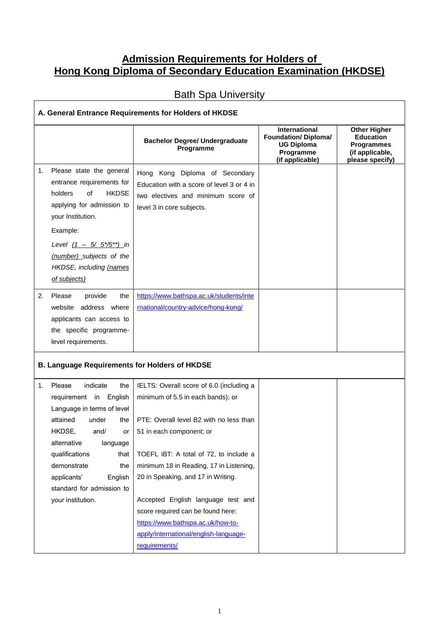## **Admission Requirements for Holders of Hong Kong Diploma of Secondary Education Examination (HKDSE)**

## Bath Spa University

| A. General Entrance Requirements for Holders of HKDSE                                                                                                                                                                                                                                                |                                                                                                                                                                                                                                                                                                                                                                                                                                                           |                                                                                                   |                                                                                                    |  |
|------------------------------------------------------------------------------------------------------------------------------------------------------------------------------------------------------------------------------------------------------------------------------------------------------|-----------------------------------------------------------------------------------------------------------------------------------------------------------------------------------------------------------------------------------------------------------------------------------------------------------------------------------------------------------------------------------------------------------------------------------------------------------|---------------------------------------------------------------------------------------------------|----------------------------------------------------------------------------------------------------|--|
|                                                                                                                                                                                                                                                                                                      | <b>Bachelor Degree/ Undergraduate</b><br>Programme                                                                                                                                                                                                                                                                                                                                                                                                        | International<br><b>Foundation/ Diploma/</b><br><b>UG Diploma</b><br>Programme<br>(if applicable) | <b>Other Higher</b><br><b>Education</b><br><b>Programmes</b><br>(if applicable,<br>please specify) |  |
| Please state the general<br>1.<br>entrance requirements for<br>holders<br>of<br><b>HKDSE</b><br>applying for admission to<br>your Institution.<br>Example:<br>Level $(1 - 5/5^{*\prime}5^{**})$ in<br>(number) subjects of the<br>HKDSE, including (names<br>of subjects)                            | Hong Kong Diploma of Secondary<br>Education with a score of level 3 or 4 in<br>two electives and minimum score of<br>level 3 in core subjects.                                                                                                                                                                                                                                                                                                            |                                                                                                   |                                                                                                    |  |
| Please<br>provide<br>2.<br>the<br>website address where<br>applicants can access to<br>the specific programme-<br>level requirements.                                                                                                                                                                | https://www.bathspa.ac.uk/students/inte<br>rnational/country-advice/hong-kong/                                                                                                                                                                                                                                                                                                                                                                            |                                                                                                   |                                                                                                    |  |
| <b>B. Language Requirements for Holders of HKDSE</b>                                                                                                                                                                                                                                                 |                                                                                                                                                                                                                                                                                                                                                                                                                                                           |                                                                                                   |                                                                                                    |  |
| Please<br>indicate<br>1.<br>the<br>requirement in English<br>Language in terms of level<br>attained<br>under<br>the<br>HKDSE.<br>and/<br>or I<br>alternative<br>language<br>qualifications<br>that<br>demonstrate<br>the<br>applicants'<br>English<br>standard for admission to<br>your institution. | IELTS: Overall score of 6.0 (including a<br>minimum of 5.5 in each bands); or<br>PTE: Overall level B2 with no less than<br>51 in each component; or<br>TOEFL iBT: A total of 72, to include a<br>minimum 18 in Reading, 17 in Listening,<br>20 in Speaking, and 17 in Writing.<br>Accepted English language test and<br>score required can be found here:<br>https://www.bathspa.ac.uk/how-to-<br>apply/international/english-language-<br>requirements/ |                                                                                                   |                                                                                                    |  |